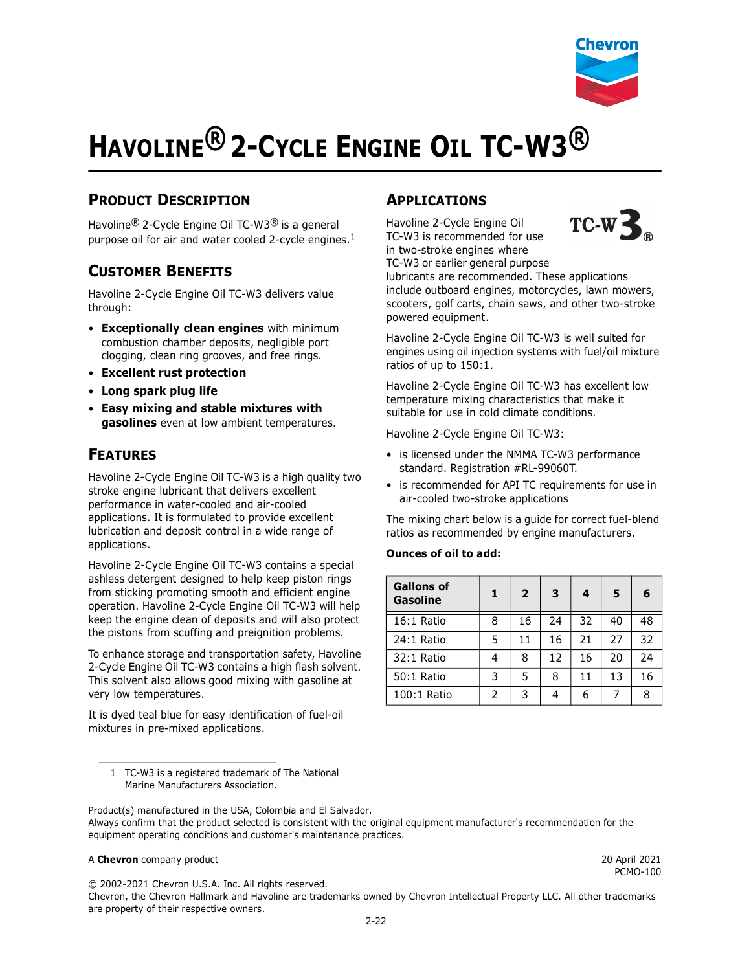

# **HAVOLINE® 2-CYCLE ENGINE OIL TC-W3®**

## **PRODUCT DESCRIPTION**

Havoline® 2-Cycle Engine Oil TC-W3® is a general purpose oil for air and water cooled 2-cycle engines. $1$ 

### **CUSTOMER BENEFITS**

Havoline 2-Cycle Engine Oil TC-W3 delivers value through:

- **Exceptionally clean engines** with minimum combustion chamber deposits, negligible port clogging, clean ring grooves, and free rings.
- **Excellent rust protection**
- **Long spark plug life**
- **Easy mixing and stable mixtures with gasolines** even at low ambient temperatures.

## **FEATURES**

Havoline 2-Cycle Engine Oil TC-W3 is a high quality two stroke engine lubricant that delivers excellent performance in water-cooled and air-cooled applications. It is formulated to provide excellent lubrication and deposit control in a wide range of applications.

Havoline 2-Cycle Engine Oil TC-W3 contains a special ashless detergent designed to help keep piston rings from sticking promoting smooth and efficient engine operation. Havoline 2-Cycle Engine Oil TC-W3 will help keep the engine clean of deposits and will also protect the pistons from scuffing and preignition problems.

To enhance storage and transportation safety, Havoline 2-Cycle Engine Oil TC-W3 contains a high flash solvent. This solvent also allows good mixing with gasoline at very low temperatures.

It is dyed teal blue for easy identification of fuel-oil mixtures in pre-mixed applications.

# **APPLICATIONS**

Havoline 2-Cycle Engine Oil TC-W3 is recommended for use in two-stroke engines where TC-W3 or earlier general purpose



lubricants are recommended. These applications include outboard engines, motorcycles, lawn mowers, scooters, golf carts, chain saws, and other two-stroke powered equipment.

Havoline 2-Cycle Engine Oil TC-W3 is well suited for engines using oil injection systems with fuel/oil mixture ratios of up to 150:1.

Havoline 2-Cycle Engine Oil TC-W3 has excellent low temperature mixing characteristics that make it suitable for use in cold climate conditions.

Havoline 2-Cycle Engine Oil TC-W3:

- is licensed under the NMMA TC-W3 performance standard. Registration #RL-99060T.
- is recommended for API TC requirements for use in air-cooled two-stroke applications

The mixing chart below is a guide for correct fuel-blend ratios as recommended by engine manufacturers.

#### **Ounces of oil to add:**

| <b>Gallons of</b><br><b>Gasoline</b> | 1 | $\overline{2}$ | 3  | 4  | 5  | 6  |
|--------------------------------------|---|----------------|----|----|----|----|
| 16:1 Ratio                           | 8 | 16             | 24 | 32 | 40 | 48 |
| 24:1 Ratio                           | 5 | 11             | 16 | 21 | 27 | 32 |
| 32:1 Ratio                           | 4 | 8              | 12 | 16 | 20 | 24 |
| 50:1 Ratio                           | 3 | 5              | 8  | 11 | 13 | 16 |
| 100:1 Ratio                          | 2 | 3              |    | 6  |    | 8  |

1 TC-W3 is a registered trademark of The National Marine Manufacturers Association.

Product(s) manufactured in the USA, Colombia and El Salvador. Always confirm that the product selected is consistent with the original equipment manufacturer's recommendation for the equipment operating conditions and customer's maintenance practices.

#### A **Chevron** company product 20 April 2021

PCMO-100

© 2002-2021 Chevron U.S.A. Inc. All rights reserved.

Chevron, the Chevron Hallmark and Havoline are trademarks owned by Chevron Intellectual Property LLC. All other trademarks are property of their respective owners.